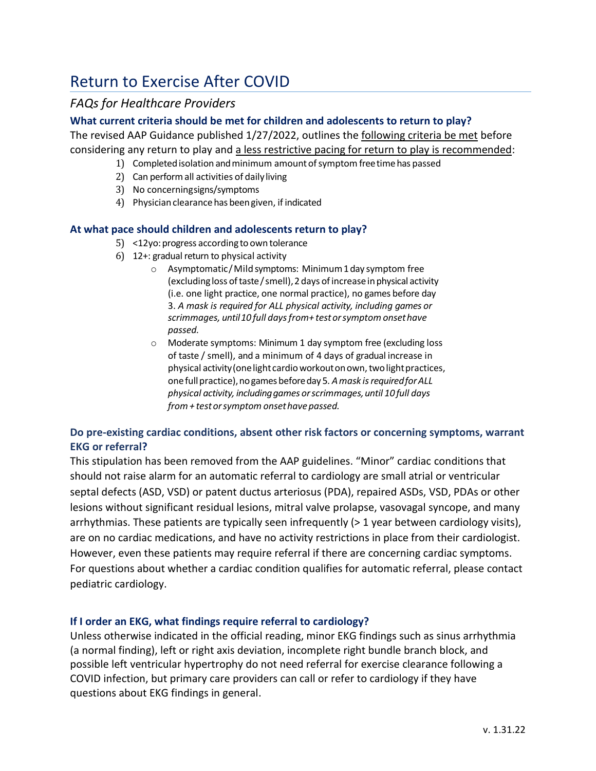# Return to Exercise After COVID

# *FAQs for Healthcare Providers*

#### **What current criteria should be met for children and adolescents to return to play?**

The revised AAP Guidance published 1/27/2022, outlines the following criteria be met before considering any return to play and a less restrictive pacing for return to play is recommended:

- 1) Completedisolation andminimum amountofsymptom freetimehas passed
- 2) Can performall activities of daily living
- 3) No concerningsigns/symptoms
- 4) Physician clearance has been given, if indicated

#### **At what pace should children and adolescents return to play?**

- 5) <12yo: progress according to own tolerance
- 6) 12+: gradual return to physical activity
	- o Asymptomatic/Mild symptoms: Minimum1day symptom free (excludingloss oftaste/smell),2days ofincreaseinphysical activity (i.e. one light practice, one normal practice), no games before day 3. *A mask is required for ALL physical activity, including games or scrimmages, until10 full daysfrom+ testorsymptom onsethave passed.*
	- o Moderate symptoms: Minimum 1 day symptom free (excluding loss of taste / smell), and a minimum of 4 days of gradual increase in physical activity (one light cardio workout on own, two light practices, onefullpractice),nogames beforeday 5*. Amask isrequiredforALL physical activity, includinggames orscrimmages,until 10 full days from+ testorsymptom onsethavepassed.*

# **Do pre-existing cardiac conditions, absent other risk factors or concerning symptoms, warrant EKG or referral?**

This stipulation has been removed from the AAP guidelines. "Minor" cardiac conditions that should not raise alarm for an automatic referral to cardiology are small atrial or ventricular septal defects (ASD, VSD) or patent ductus arteriosus (PDA), repaired ASDs, VSD, PDAs or other lesions without significant residual lesions, mitral valve prolapse, vasovagal syncope, and many arrhythmias. These patients are typically seen infrequently (> 1 year between cardiology visits), are on no cardiac medications, and have no activity restrictions in place from their cardiologist. However, even these patients may require referral if there are concerning cardiac symptoms. For questions about whether a cardiac condition qualifies for automatic referral, please contact pediatric cardiology.

## **If I order an EKG, what findings require referral to cardiology?**

Unless otherwise indicated in the official reading, minor EKG findings such as sinus arrhythmia (a normal finding), left or right axis deviation, incomplete right bundle branch block, and possible left ventricular hypertrophy do not need referral for exercise clearance following a COVID infection, but primary care providers can call or refer to cardiology if they have questions about EKG findings in general.